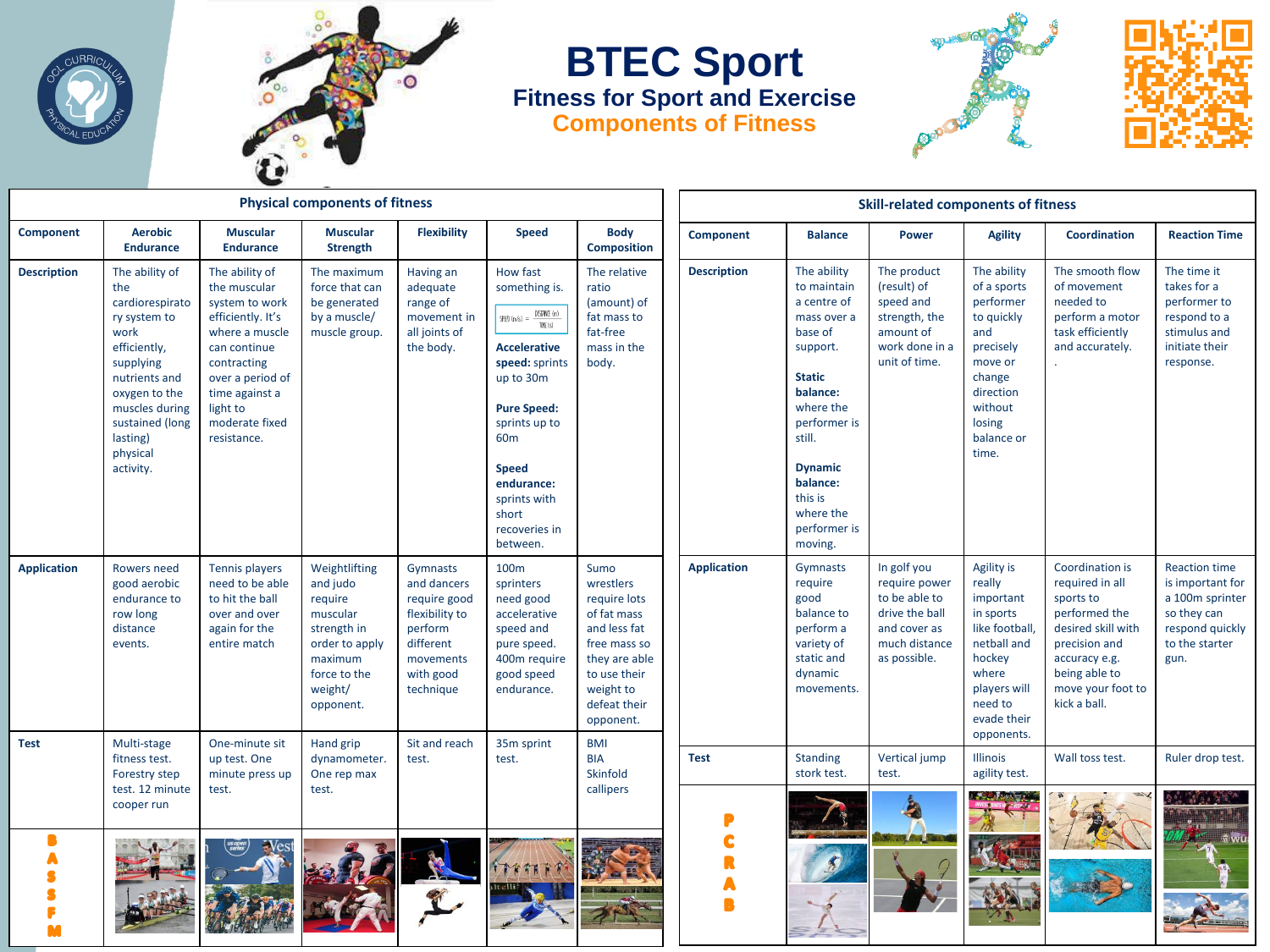



## **BTEC Sport Fitness for Sport and Exercise Components of Fitness**





| <b>Physical components of fitness</b> |                                                                                                                                                                                                           |                                                                                                                                                                                                           |                                                                                                                                      |                                                                                                                          |                                                                                                                                                                                                                                                                                                  |                                                                                                                                                             | <b>Skill-related components of fitness</b> |                                                                                                                                                                                                                                      |                                                                                                                  |                                                                                                                                                                   |                                                                                                                                                                                |                                                                                                                         |
|---------------------------------------|-----------------------------------------------------------------------------------------------------------------------------------------------------------------------------------------------------------|-----------------------------------------------------------------------------------------------------------------------------------------------------------------------------------------------------------|--------------------------------------------------------------------------------------------------------------------------------------|--------------------------------------------------------------------------------------------------------------------------|--------------------------------------------------------------------------------------------------------------------------------------------------------------------------------------------------------------------------------------------------------------------------------------------------|-------------------------------------------------------------------------------------------------------------------------------------------------------------|--------------------------------------------|--------------------------------------------------------------------------------------------------------------------------------------------------------------------------------------------------------------------------------------|------------------------------------------------------------------------------------------------------------------|-------------------------------------------------------------------------------------------------------------------------------------------------------------------|--------------------------------------------------------------------------------------------------------------------------------------------------------------------------------|-------------------------------------------------------------------------------------------------------------------------|
| <b>Component</b>                      | <b>Aerobic</b><br><b>Endurance</b>                                                                                                                                                                        | <b>Muscular</b><br><b>Endurance</b>                                                                                                                                                                       | <b>Muscular</b><br><b>Strength</b>                                                                                                   | <b>Flexibility</b>                                                                                                       | <b>Speed</b>                                                                                                                                                                                                                                                                                     | <b>Body</b><br><b>Composition</b>                                                                                                                           | <b>Component</b>                           | <b>Balance</b>                                                                                                                                                                                                                       | <b>Power</b>                                                                                                     | <b>Agility</b>                                                                                                                                                    | <b>Coordination</b>                                                                                                                                                            | <b>Reaction Time</b>                                                                                                    |
| <b>Description</b>                    | The ability of<br>the<br>cardiorespirato<br>ry system to<br>work<br>efficiently,<br>supplying<br>nutrients and<br>oxygen to the<br>muscles during<br>sustained (long<br>lasting)<br>physical<br>activity. | The ability of<br>the muscular<br>system to work<br>efficiently. It's<br>where a muscle<br>can continue<br>contracting<br>over a period of<br>time against a<br>light to<br>moderate fixed<br>resistance. | The maximum<br>force that can<br>be generated<br>by a muscle/<br>muscle group.                                                       | Having an<br>adequate<br>range of<br>movement in<br>all joints of<br>the body.                                           | How fast<br>something is.<br>$\frac{\text{DISTANCf (m)}}{\text{TMf (s)}}$<br>$SP(E)$ (m/s) =<br><b>Accelerative</b><br>speed: sprints<br>up to 30m<br><b>Pure Speed:</b><br>sprints up to<br>60 <sub>m</sub><br><b>Speed</b><br>endurance:<br>sprints with<br>short<br>recoveries in<br>between. | The relative<br>ratio<br>(amount) of<br>fat mass to<br>fat-free<br>mass in the<br>body.                                                                     | <b>Description</b>                         | The ability<br>to maintain<br>a centre of<br>mass over a<br>base of<br>support.<br><b>Static</b><br>balance:<br>where the<br>performer is<br>still.<br><b>Dynamic</b><br>balance:<br>this is<br>where the<br>performer is<br>moving. | The product<br>(result) of<br>speed and<br>strength, the<br>amount of<br>work done in a<br>unit of time.         | The ability<br>of a sports<br>performer<br>to quickly<br>and<br>precisely<br>move or<br>change<br>direction<br>without<br>losing<br>balance or<br>time.           | The smooth flow<br>of movement<br>needed to<br>perform a motor<br>task efficiently<br>and accurately.                                                                          | The time it<br>takes for a<br>performer to<br>respond to a<br>stimulus and<br>initiate their<br>response.               |
| <b>Application</b>                    | Rowers need<br>good aerobic<br>endurance to<br>row long<br>distance<br>events.                                                                                                                            | Tennis players<br>need to be able<br>to hit the ball<br>over and over<br>again for the<br>entire match                                                                                                    | Weightlifting<br>and judo<br>require<br>muscular<br>strength in<br>order to apply<br>maximum<br>force to the<br>weight/<br>opponent. | Gymnasts<br>and dancers<br>require good<br>flexibility to<br>perform<br>different<br>movements<br>with good<br>technique | 100m<br>sprinters<br>need good<br>accelerative<br>speed and<br>pure speed.<br>400m require<br>good speed<br>endurance.                                                                                                                                                                           | Sumo<br>wrestlers<br>require lots<br>of fat mass<br>and less fat<br>free mass so<br>they are able<br>to use their<br>weight to<br>defeat their<br>opponent. | <b>Application</b>                         | Gymnasts<br>require<br>good<br>balance to<br>perform a<br>variety of<br>static and<br>dynamic<br>movements.                                                                                                                          | In golf you<br>require power<br>to be able to<br>drive the ball<br>and cover as<br>much distance<br>as possible. | <b>Agility is</b><br>really<br>important<br>in sports<br>like football,<br>netball and<br>hockey<br>where<br>players will<br>need to<br>evade their<br>opponents. | Coordination is<br>required in all<br>sports to<br>performed the<br>desired skill with<br>precision and<br>accuracy e.g.<br>being able to<br>move your foot to<br>kick a ball. | <b>Reaction time</b><br>is important for<br>a 100m sprinter<br>so they can<br>respond quickly<br>to the starter<br>gun. |
| <b>Test</b>                           | Multi-stage<br>fitness test.<br>Forestry step<br>test. 12 minute                                                                                                                                          | One-minute sit<br>up test. One<br>minute press up<br>test.                                                                                                                                                | Hand grip<br>dynamometer.<br>One rep max<br>test.                                                                                    | Sit and reach<br>test.                                                                                                   | 35m sprint<br>test.                                                                                                                                                                                                                                                                              | <b>BMI</b><br><b>BIA</b><br>Skinfold<br>callipers                                                                                                           | <b>Test</b>                                | Standing<br>stork test.                                                                                                                                                                                                              | Vertical jump<br>test.                                                                                           | <b>Illinois</b><br>agility test.<br><b>THE PARK OF</b>                                                                                                            | Wall toss test.                                                                                                                                                                | Ruler drop test.                                                                                                        |
|                                       | cooper run                                                                                                                                                                                                | us open                                                                                                                                                                                                   |                                                                                                                                      |                                                                                                                          |                                                                                                                                                                                                                                                                                                  |                                                                                                                                                             |                                            |                                                                                                                                                                                                                                      | <b>WEST AND THE N</b>                                                                                            |                                                                                                                                                                   |                                                                                                                                                                                |                                                                                                                         |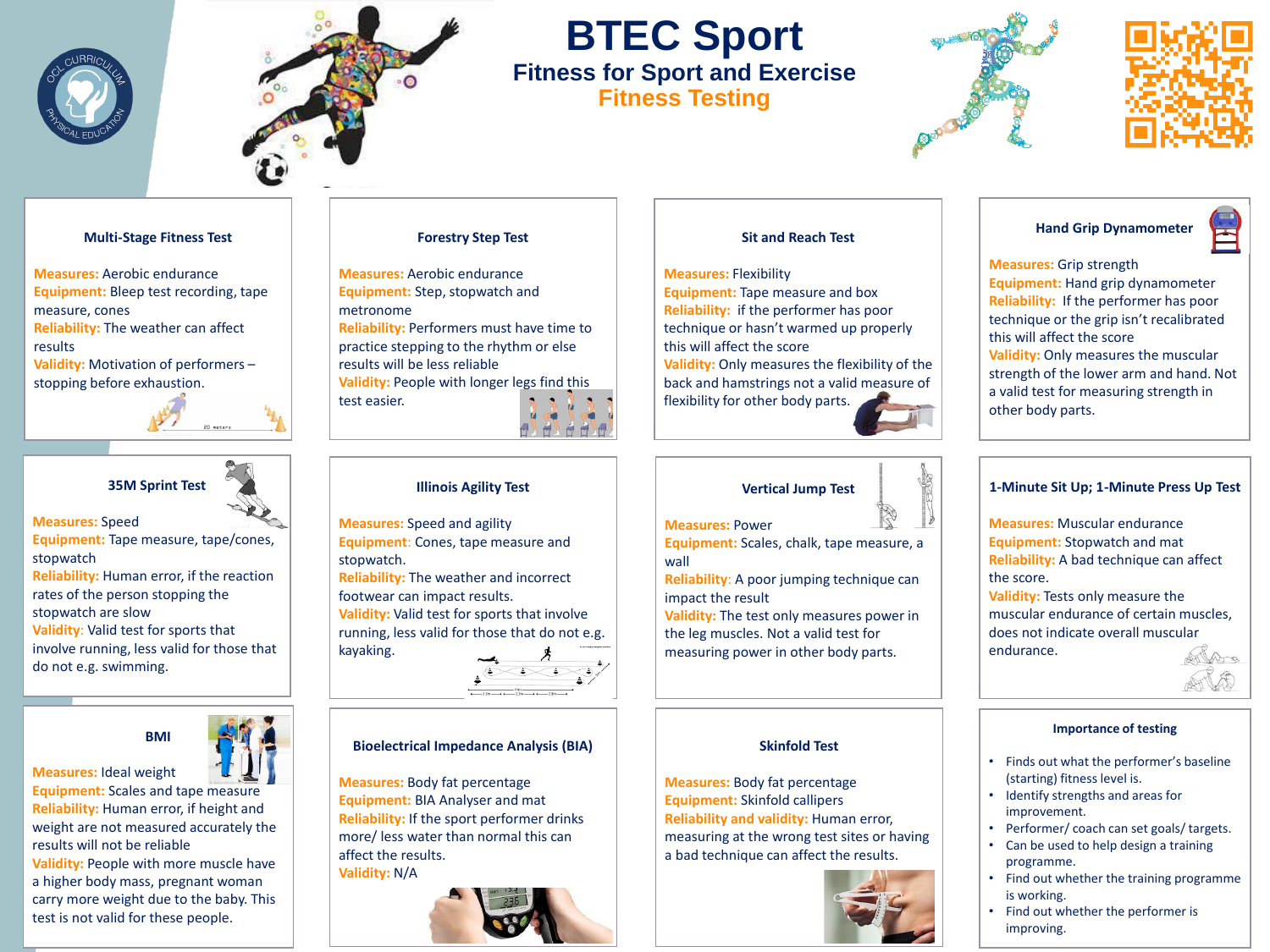



# **BTEC Sport Fitness for Sport and Exercise**

**Fitness Testing**





### **Multi-Stage Fitness Test**

**Measures:** Aerobic endurance **Equipment:** Bleep test recording, tape measure, cones **Reliability:** The weather can affect results **Validity:** Motivation of performers –

stopping before exhaustion.



## **35M Sprint Test**

**Measures:** Speed

**Equipment:** Tape measure, tape/cones, stopwatch

**Reliability:** Human error, if the reaction rates of the person stopping the stopwatch are slow

**Validity**: Valid test for sports that involve running, less valid for those that do not e.g. swimming.





**Measures:** Ideal weight **Equipment:** Scales and tape measure **Reliability:** Human error, if height and weight are not measured accurately the results will not be reliable **Validity:** People with more muscle have a higher body mass, pregnant woman

**Validity:** N/A

carry more weight due to the baby. This test is not valid for these people.

### **Forestry Step Test**

**Measures:** Aerobic endurance **Equipment:** Step, stopwatch and metronome **Reliability:** Performers must have time to practice stepping to the rhythm or else results will be less reliable **Validity:** People with longer legs find this test easier.

### **Illinois Agility Test**

**Measures:** Speed and agility **Equipment**: Cones, tape measure and stopwatch. **Reliability:** The weather and incorrect footwear can impact results. **Validity:** Valid test for sports that involve running, less valid for those that do not e.g.



### **Bioelectrical Impedance Analysis (BIA)**

**Measures:** Body fat percentage **Equipment:** BIA Analyser and mat **Reliability:** If the sport performer drinks more/ less water than normal this can affect the results.

kayaking.



### **Sit and Reach Test**

**Measures:** Flexibility **Equipment:** Tape measure and box **Reliability:** if the performer has poor technique or hasn't warmed up properly this will affect the score **Validity:** Only measures the flexibility of the back and hamstrings not a valid measure of flexibility for other body parts.

## **Vertical Jump Test**



**Measures:** Power

**Equipment:** Scales, chalk, tape measure, a wall

**Reliability**: A poor jumping technique can impact the result

**Validity:** The test only measures power in the leg muscles. Not a valid test for measuring power in other body parts.

### **Skinfold Test**

**Measures:** Body fat percentage **Equipment:** Skinfold callipers **Reliability and validity:** Human error, measuring at the wrong test sites or having a bad technique can affect the results.



### **Hand Grip Dynamometer**

**Measures:** Grip strength **Equipment:** Hand grip dynamometer **Reliability:** If the performer has poor technique or the grip isn't recalibrated this will affect the score **Validity:** Only measures the muscular strength of the lower arm and hand. Not a valid test for measuring strength in other body parts.

### **1-Minute Sit Up; 1-Minute Press Up Test**

**Measures:** Muscular endurance **Equipment:** Stopwatch and mat **Reliability:** A bad technique can affect the score.

**Validity:** Tests only measure the muscular endurance of certain muscles, does not indicate overall muscular endurance.



### **Importance of testing**

- Finds out what the performer's baseline (starting) fitness level is.
- Identify strengths and areas for improvement.
- Performer/ coach can set goals/ targets. • Can be used to help design a training programme.
- Find out whether the training programme is working.
- Find out whether the performer is improving.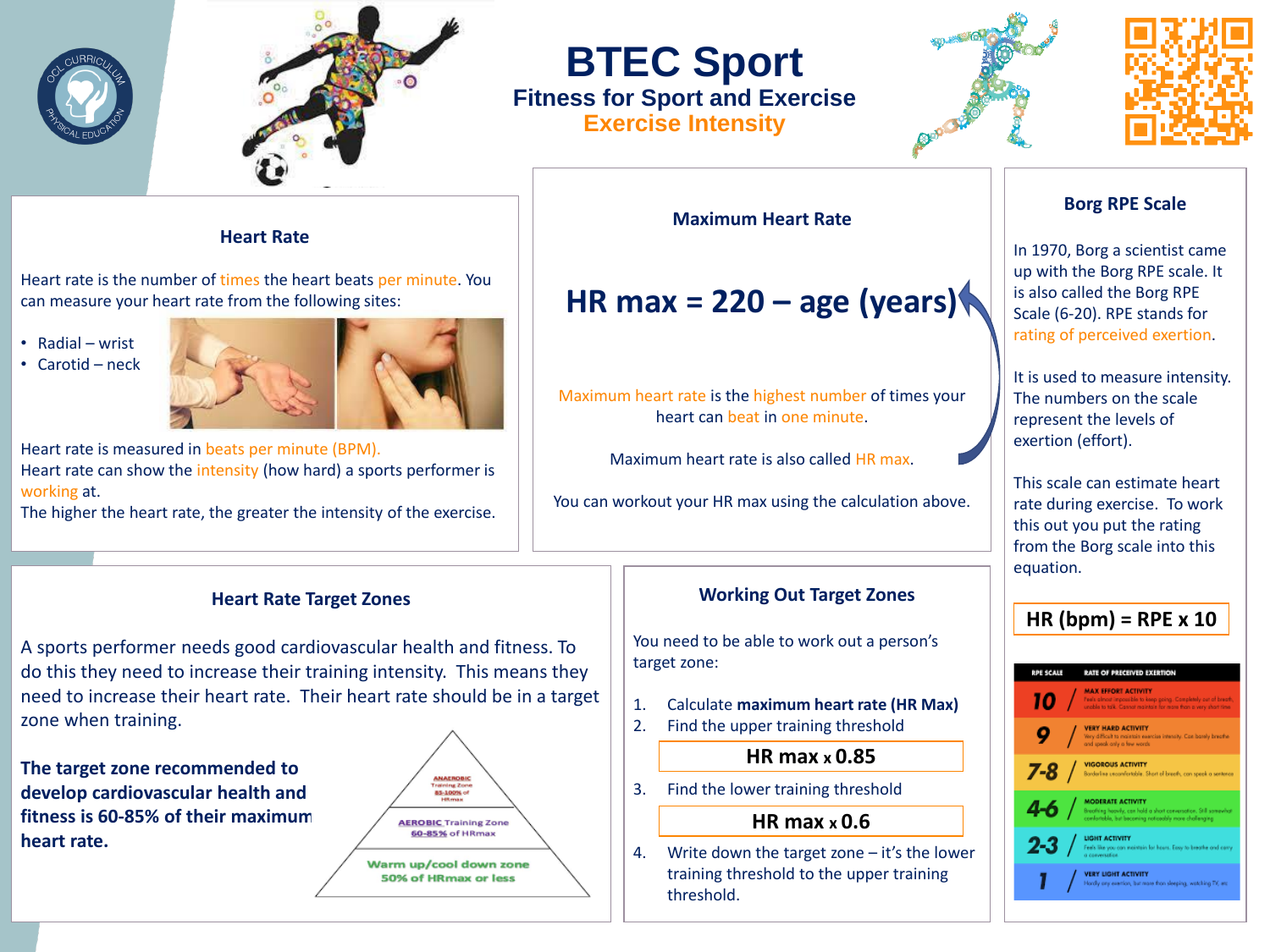



## **BTEC Sport Fitness for Sport and Exercise Exercise Intensity**





### **Heart Rate**

Heart rate is the number of times the heart beats per minute. You can measure your heart rate from the following sites:

• Radial – wrist

• Carotid – neck



Heart rate is measured in beats per minute (BPM). Heart rate can show the intensity (how hard) a sports performer is working at.

The higher the heart rate, the greater the intensity of the exercise.

### **Heart Rate Target Zones**

A sports performer needs good cardiovascular health and fitness. To do this they need to increase their training intensity. This means they need to increase their heart rate. Their heart rate should be in a target zone when training.

**The target zone recommended to develop cardiovascular health and fitness is 60-85% of their maximum heart rate.**



**Maximum Heart Rate**

**HR max = 220 – age (years)**

Maximum heart rate is the highest number of times your heart can beat in one minute.

Maximum heart rate is also called HR max.

You can workout your HR max using the calculation above.

## **Working Out Target Zones**

You need to be able to work out a person's target zone:

- 1. Calculate **maximum heart rate (HR Max)**
- 2. Find the upper training threshold

## **HR max x 0.85**

3. Find the lower training threshold

## **HR max x 0.6**

4. Write down the target zone – it's the lower training threshold to the upper training threshold.

## **Borg RPE Scale**

In 1970, Borg a scientist came up with the Borg RPE scale. It is also called the Borg RPE Scale (6-20). RPE stands for rating of perceived exertion.

It is used to measure intensity. The numbers on the scale represent the levels of exertion (effort).

This scale can estimate heart rate during exercise. To work this out you put the rating from the Borg scale into this equation.

## **HR (bpm) = RPE x 10**

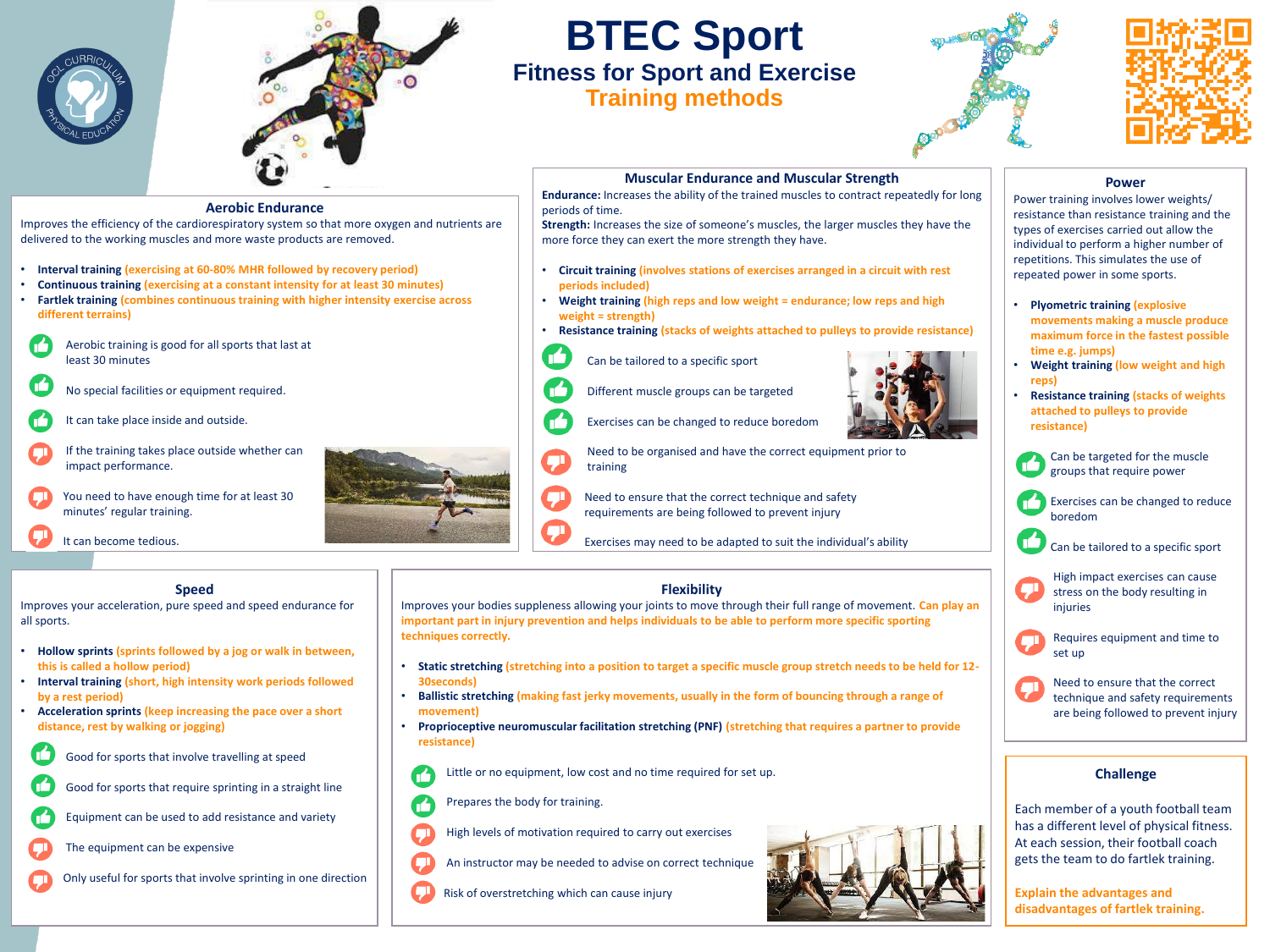



## **BTEC Sport Fitness for Sport and Exercise Training methods**





## **Muscular Endurance and Muscular Strength**

n

né

**Endurance:** Increases the ability of the trained muscles to contract repeatedly for long periods of time.

**Strength:** Increases the size of someone's muscles, the larger muscles they have the more force they can exert the more strength they have.

- **Circuit training (involves stations of exercises arranged in a circuit with rest periods included)**
- **Weight training (high reps and low weight = endurance; low reps and high weight = strength)**

Need to be organised and have the correct equipment prior to

Exercises may need to be adapted to suit the individual's ability

- **Resistance training (stacks of weights attached to pulleys to provide resistance)**
	- Can be tailored to a specific sport

Different muscle groups can be targeted

Exercises can be changed to reduce boredom

Need to ensure that the correct technique and safety requirements are being followed to prevent injury



• **Weight training (low weight and high reps)** • **Resistance training (stacks of weights attached to pulleys to provide** 

**movements making a muscle produce maximum force in the fastest possible** 

• **Plyometric training (explosive** 

**time e.g. jumps)**

**resistance)**

**Power** Power training involves lower weights/ resistance than resistance training and the types of exercises carried out allow the individual to perform a higher number of repetitions. This simulates the use of repeated power in some sports.

- Can be targeted for the muscle groups that require power
- Exercises can be changed to reduce boredom
- Can be tailored to a specific sport
- High impact exercises can cause **g**l stress on the body resulting in injuries
- Requires equipment and time to set up
- Need to ensure that the correct technique and safety requirements are being followed to prevent injury

### **Challenge**

Each member of a youth football team has a different level of physical fitness. At each session, their football coach gets the team to do fartlek training.

**Explain the advantages and disadvantages of fartlek training.**

**Aerobic Endurance**

Improves the efficiency of the cardiorespiratory system so that more oxygen and nutrients are delivered to the working muscles and more waste products are removed.

- **Interval training (exercising at 60-80% MHR followed by recovery period)**
- **Continuous training (exercising at a constant intensity for at least 30 minutes)**
- **Fartlek training (combines continuous training with higher intensity exercise across different terrains)**
- Aerobic training is good for all sports that last at least 30 minutes
- No special facilities or equipment required.
- It can take place inside and outside.
- If the training takes place outside whether can impact performance.
- You need to have enough time for at least 30 minutes' regular training.

**Speed** Improves your acceleration, pure speed and speed endurance for

• **Hollow sprints (sprints followed by a jog or walk in between,** 

• **Interval training (short, high intensity work periods followed** 

• **Acceleration sprints (keep increasing the pace over a short** 

Good for sports that involve travelling at speed

Good for sports that require sprinting in a straight line

Equipment can be used to add resistance and variety

Only useful for sports that involve sprinting in one direction

It can become tedious.

**this is called a hollow period)**

**distance, rest by walking or jogging)**

The equipment can be expensive

**by a rest period)**

all sports.

**Flexibility**

Improves your bodies suppleness allowing your joints to move through their full range of movement. **Can play an important part in injury prevention and helps individuals to be able to perform more specific sporting techniques correctly.**

- **Static stretching (stretching into a position to target a specific muscle group stretch needs to be held for 12- 30seconds)**
- **Ballistic stretching (making fast jerky movements, usually in the form of bouncing through a range of movement)**
- **Proprioceptive neuromuscular facilitation stretching (PNF) (stretching that requires a partner to provide resistance)**

Little or no equipment, low cost and no time required for set up.

training



- High levels of motivation required to carry out exercises
- An instructor may be needed to advise on correct technique
- Risk of overstretching which can cause injury